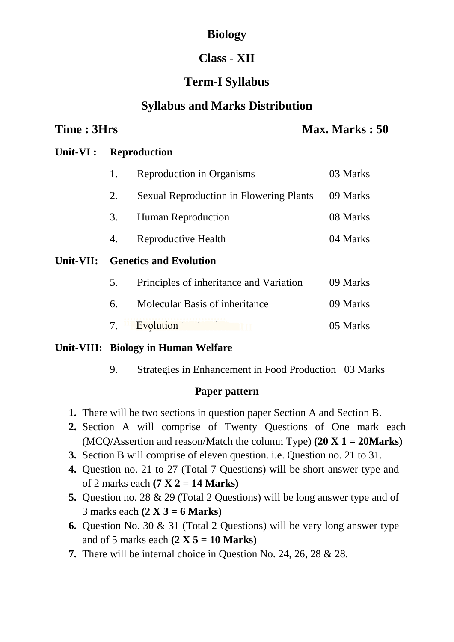# **Biology**

# **Class - XII**

# **Term-I Syllabus**

### **Syllabus and Marks Distribution**

#### **Time : 3Hrs Max. Marks : 50**

#### **Unit-VI : Reproduction**

|           | 1.                            | Reproduction in Organisms                      | 03 Marks |
|-----------|-------------------------------|------------------------------------------------|----------|
|           | 2.                            | <b>Sexual Reproduction in Flowering Plants</b> | 09 Marks |
|           | 3.                            | Human Reproduction                             | 08 Marks |
|           | 4.                            | Reproductive Health                            | 04 Marks |
|           | <b>Genetics and Evolution</b> |                                                |          |
| Unit-VII: |                               |                                                |          |
|           | 5.                            | Principles of inheritance and Variation        | 09 Marks |
|           | 6.                            | Molecular Basis of inheritance                 | 09 Marks |

#### **Unit-VIII: Biology in Human Welfare**

9. Strategies in Enhancement in Food Production 03 Marks

#### **Paper pattern**

- **1.** There will be two sections in question paper Section A and Section B.
- **2.** Section A will comprise of Twenty Questions of One mark each (MCQ/Assertion and reason/Match the column Type) **(20 X 1 = 20Marks)**
- **3.** Section B will comprise of eleven question. i.e. Question no. 21 to 31.
- **4.** Question no. 21 to 27 (Total 7 Questions) will be short answer type and of 2 marks each **(7 X 2 = 14 Marks)**
- **5.** Question no. 28 & 29 (Total 2 Questions) will be long answer type and of 3 marks each **(2 X 3 = 6 Marks)**
- **6.** Question No. 30 & 31 (Total 2 Questions) will be very long answer type and of 5 marks each **(2 X 5 = 10 Marks)**
- **7.** There will be internal choice in Question No. 24, 26, 28 & 28.